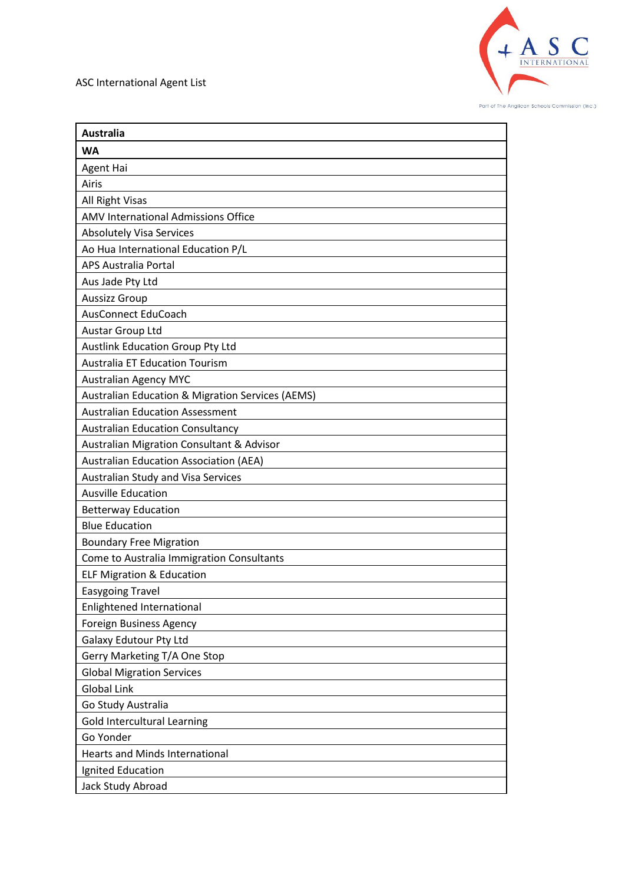

| <b>Australia</b>                                            |
|-------------------------------------------------------------|
| <b>WA</b>                                                   |
| Agent Hai                                                   |
| Airis                                                       |
| All Right Visas                                             |
| AMV International Admissions Office                         |
| <b>Absolutely Visa Services</b>                             |
| Ao Hua International Education P/L                          |
| <b>APS Australia Portal</b>                                 |
| Aus Jade Pty Ltd                                            |
| <b>Aussizz Group</b>                                        |
| <b>AusConnect EduCoach</b>                                  |
| Austar Group Ltd                                            |
| <b>Austlink Education Group Pty Ltd</b>                     |
| <b>Australia ET Education Tourism</b>                       |
| <b>Australian Agency MYC</b>                                |
| <b>Australian Education &amp; Migration Services (AEMS)</b> |
| <b>Australian Education Assessment</b>                      |
| <b>Australian Education Consultancy</b>                     |
| <b>Australian Migration Consultant &amp; Advisor</b>        |
| <b>Australian Education Association (AEA)</b>               |
| Australian Study and Visa Services                          |
| <b>Ausville Education</b>                                   |
| <b>Betterway Education</b>                                  |
| <b>Blue Education</b>                                       |
| <b>Boundary Free Migration</b>                              |
| Come to Australia Immigration Consultants                   |
| <b>ELF Migration &amp; Education</b>                        |
| <b>Easygoing Travel</b>                                     |
| Enlightened International                                   |
| <b>Foreign Business Agency</b>                              |
| Galaxy Edutour Pty Ltd                                      |
| Gerry Marketing T/A One Stop                                |
| <b>Global Migration Services</b>                            |
| <b>Global Link</b>                                          |
| Go Study Australia                                          |
| Gold Intercultural Learning                                 |
| Go Yonder                                                   |
| <b>Hearts and Minds International</b>                       |
| Ignited Education                                           |
| Jack Study Abroad                                           |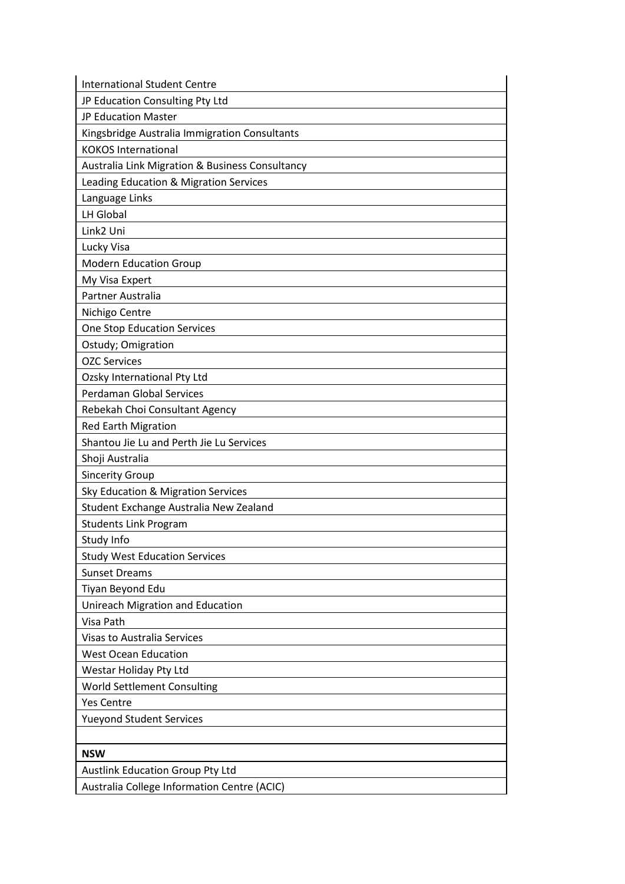| <b>International Student Centre</b>             |
|-------------------------------------------------|
| JP Education Consulting Pty Ltd                 |
| JP Education Master                             |
| Kingsbridge Australia Immigration Consultants   |
| <b>KOKOS International</b>                      |
| Australia Link Migration & Business Consultancy |
| Leading Education & Migration Services          |
| Language Links                                  |
| <b>LH Global</b>                                |
| Link2 Uni                                       |
| Lucky Visa                                      |
| <b>Modern Education Group</b>                   |
| My Visa Expert                                  |
| Partner Australia                               |
| Nichigo Centre                                  |
| One Stop Education Services                     |
| Ostudy; Omigration                              |
| <b>OZC Services</b>                             |
| Ozsky International Pty Ltd                     |
| Perdaman Global Services                        |
| Rebekah Choi Consultant Agency                  |
| <b>Red Earth Migration</b>                      |
| Shantou Jie Lu and Perth Jie Lu Services        |
| Shoji Australia                                 |
| <b>Sincerity Group</b>                          |
| Sky Education & Migration Services              |
| Student Exchange Australia New Zealand          |
| <b>Students Link Program</b>                    |
| Study Info                                      |
| <b>Study West Education Services</b>            |
| <b>Sunset Dreams</b>                            |
| Tiyan Beyond Edu                                |
| Unireach Migration and Education                |
| Visa Path                                       |
| <b>Visas to Australia Services</b>              |
| <b>West Ocean Education</b>                     |
| Westar Holiday Pty Ltd                          |
| <b>World Settlement Consulting</b>              |
| <b>Yes Centre</b>                               |
| <b>Yueyond Student Services</b>                 |
|                                                 |
| <b>NSW</b>                                      |
| <b>Austlink Education Group Pty Ltd</b>         |
| Australia College Information Centre (ACIC)     |
|                                                 |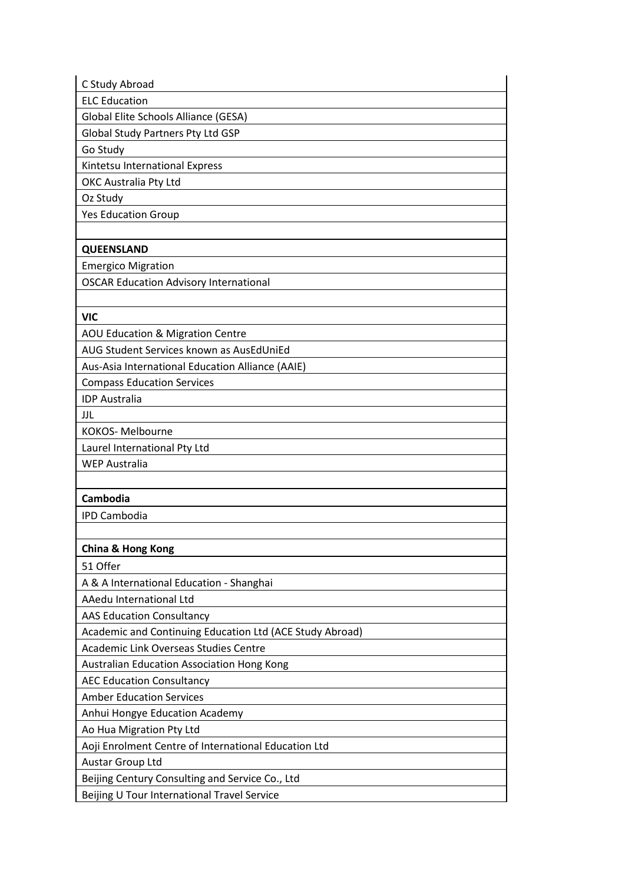| C Study Abroad                                           |
|----------------------------------------------------------|
| <b>ELC Education</b>                                     |
| Global Elite Schools Alliance (GESA)                     |
| <b>Global Study Partners Pty Ltd GSP</b>                 |
| Go Study                                                 |
| Kintetsu International Express                           |
| OKC Australia Pty Ltd                                    |
| Oz Study                                                 |
| <b>Yes Education Group</b>                               |
|                                                          |
| <b>QUEENSLAND</b>                                        |
| <b>Emergico Migration</b>                                |
| <b>OSCAR Education Advisory International</b>            |
|                                                          |
| <b>VIC</b>                                               |
| AOU Education & Migration Centre                         |
| AUG Student Services known as AusEdUniEd                 |
| Aus-Asia International Education Alliance (AAIE)         |
| <b>Compass Education Services</b>                        |
| <b>IDP Australia</b>                                     |
| JJL                                                      |
| KOKOS-Melbourne                                          |
| Laurel International Pty Ltd                             |
| <b>WEP Australia</b>                                     |
|                                                          |
| Cambodia                                                 |
| <b>IPD Cambodia</b>                                      |
|                                                          |
| <b>China &amp; Hong Kong</b>                             |
| 51 Offer                                                 |
| A & A International Education - Shanghai                 |
| AAedu International Ltd                                  |
| <b>AAS Education Consultancy</b>                         |
| Academic and Continuing Education Ltd (ACE Study Abroad) |
| Academic Link Overseas Studies Centre                    |
| Australian Education Association Hong Kong               |
| <b>AEC Education Consultancy</b>                         |
| <b>Amber Education Services</b>                          |
| Anhui Hongye Education Academy                           |
|                                                          |
| Ao Hua Migration Pty Ltd                                 |
| Aoji Enrolment Centre of International Education Ltd     |
| Austar Group Ltd                                         |
| Beijing Century Consulting and Service Co., Ltd          |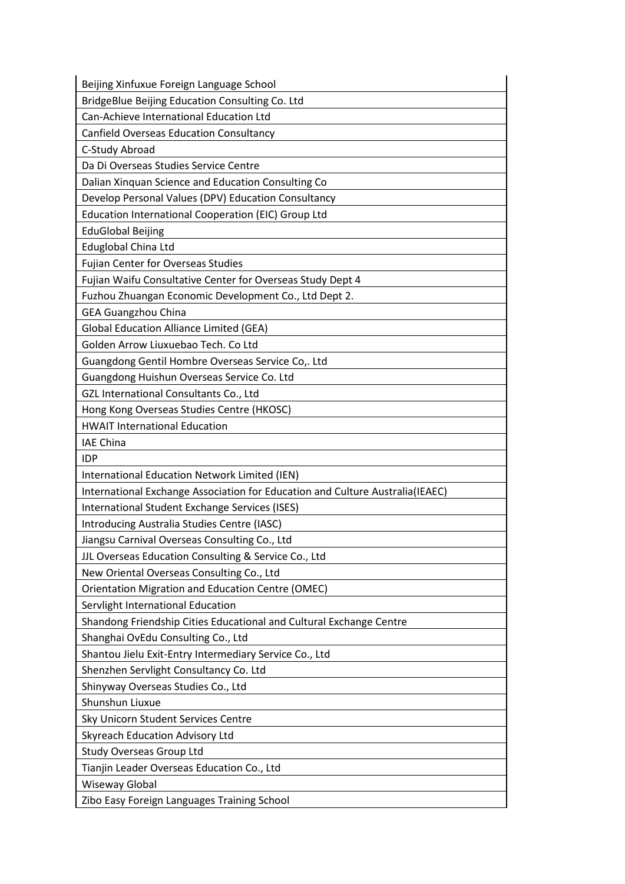| Beijing Xinfuxue Foreign Language School                                      |
|-------------------------------------------------------------------------------|
| BridgeBlue Beijing Education Consulting Co. Ltd                               |
| Can-Achieve International Education Ltd                                       |
| <b>Canfield Overseas Education Consultancy</b>                                |
| C-Study Abroad                                                                |
| Da Di Overseas Studies Service Centre                                         |
| Dalian Xinquan Science and Education Consulting Co                            |
| Develop Personal Values (DPV) Education Consultancy                           |
| Education International Cooperation (EIC) Group Ltd                           |
| <b>EduGlobal Beijing</b>                                                      |
| Eduglobal China Ltd                                                           |
| Fujian Center for Overseas Studies                                            |
| Fujian Waifu Consultative Center for Overseas Study Dept 4                    |
| Fuzhou Zhuangan Economic Development Co., Ltd Dept 2.                         |
| <b>GEA Guangzhou China</b>                                                    |
| <b>Global Education Alliance Limited (GEA)</b>                                |
| Golden Arrow Liuxuebao Tech. Co Ltd                                           |
| Guangdong Gentil Hombre Overseas Service Co,. Ltd                             |
| Guangdong Huishun Overseas Service Co. Ltd                                    |
| GZL International Consultants Co., Ltd                                        |
| Hong Kong Overseas Studies Centre (HKOSC)                                     |
| <b>HWAIT International Education</b>                                          |
| <b>IAE China</b>                                                              |
| <b>IDP</b>                                                                    |
| International Education Network Limited (IEN)                                 |
| International Exchange Association for Education and Culture Australia(IEAEC) |
| International Student Exchange Services (ISES)                                |
| Introducing Australia Studies Centre (IASC)                                   |
| Jiangsu Carnival Overseas Consulting Co., Ltd                                 |
| JJL Overseas Education Consulting & Service Co., Ltd                          |
| New Oriental Overseas Consulting Co., Ltd                                     |
| Orientation Migration and Education Centre (OMEC)                             |
| Servlight International Education                                             |
| Shandong Friendship Cities Educational and Cultural Exchange Centre           |
| Shanghai OvEdu Consulting Co., Ltd                                            |
| Shantou Jielu Exit-Entry Intermediary Service Co., Ltd                        |
| Shenzhen Servlight Consultancy Co. Ltd                                        |
| Shinyway Overseas Studies Co., Ltd                                            |
| Shunshun Liuxue                                                               |
| Sky Unicorn Student Services Centre                                           |
| Skyreach Education Advisory Ltd                                               |
| Study Overseas Group Ltd                                                      |
| Tianjin Leader Overseas Education Co., Ltd                                    |
| Wiseway Global                                                                |
| Zibo Easy Foreign Languages Training School                                   |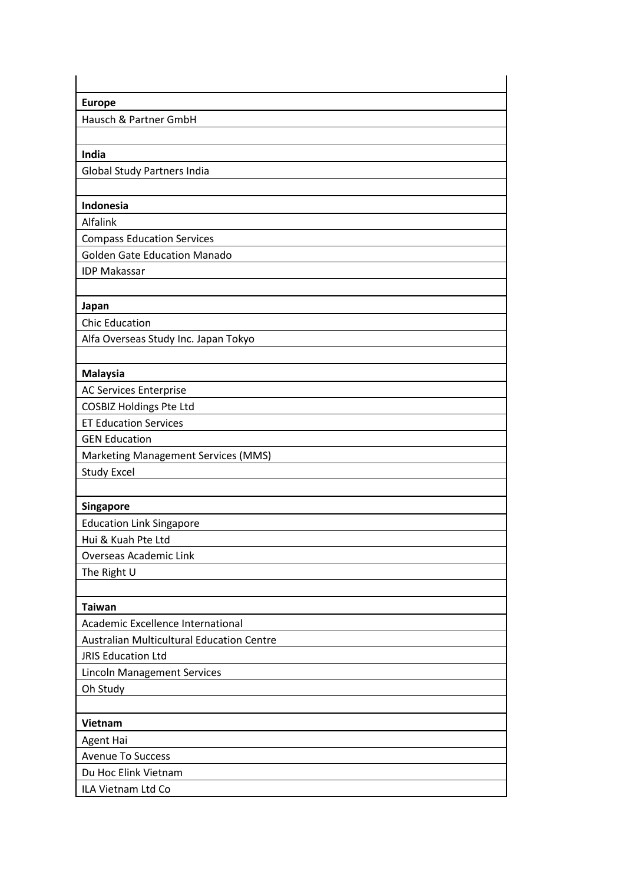| <b>Europe</b>                                    |
|--------------------------------------------------|
| Hausch & Partner GmbH                            |
|                                                  |
| India                                            |
| <b>Global Study Partners India</b>               |
|                                                  |
| Indonesia                                        |
| Alfalink                                         |
| <b>Compass Education Services</b>                |
| <b>Golden Gate Education Manado</b>              |
| <b>IDP Makassar</b>                              |
|                                                  |
| Japan                                            |
| <b>Chic Education</b>                            |
| Alfa Overseas Study Inc. Japan Tokyo             |
|                                                  |
| <b>Malaysia</b>                                  |
| <b>AC Services Enterprise</b>                    |
| <b>COSBIZ Holdings Pte Ltd</b>                   |
| <b>ET Education Services</b>                     |
| <b>GEN Education</b>                             |
| <b>Marketing Management Services (MMS)</b>       |
| <b>Study Excel</b>                               |
|                                                  |
| Singapore                                        |
| <b>Education Link Singapore</b>                  |
| Hui & Kuah Pte Ltd                               |
| <b>Overseas Academic Link</b>                    |
| The Right U                                      |
|                                                  |
| <b>Taiwan</b>                                    |
| Academic Excellence International                |
| <b>Australian Multicultural Education Centre</b> |
| <b>JRIS Education Ltd</b>                        |
| <b>Lincoln Management Services</b>               |
| Oh Study                                         |
|                                                  |
| Vietnam                                          |
| <b>Agent Hai</b>                                 |
| <b>Avenue To Success</b>                         |
| Du Hoc Elink Vietnam                             |
| ILA Vietnam Ltd Co                               |